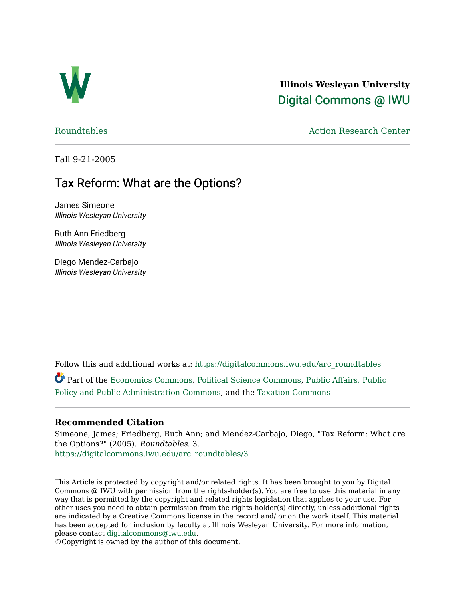

**Illinois Wesleyan University**  [Digital Commons @ IWU](https://digitalcommons.iwu.edu/) 

[Roundtables](https://digitalcommons.iwu.edu/arc_roundtables) **Action Research Center** 

Fall 9-21-2005

# Tax Reform: What are the Options?

James Simeone Illinois Wesleyan University

Ruth Ann Friedberg Illinois Wesleyan University

Diego Mendez-Carbajo Illinois Wesleyan University

Follow this and additional works at: [https://digitalcommons.iwu.edu/arc\\_roundtables](https://digitalcommons.iwu.edu/arc_roundtables?utm_source=digitalcommons.iwu.edu%2Farc_roundtables%2F3&utm_medium=PDF&utm_campaign=PDFCoverPages) 

Part of the [Economics Commons,](http://network.bepress.com/hgg/discipline/340?utm_source=digitalcommons.iwu.edu%2Farc_roundtables%2F3&utm_medium=PDF&utm_campaign=PDFCoverPages) [Political Science Commons,](http://network.bepress.com/hgg/discipline/386?utm_source=digitalcommons.iwu.edu%2Farc_roundtables%2F3&utm_medium=PDF&utm_campaign=PDFCoverPages) [Public Affairs, Public](http://network.bepress.com/hgg/discipline/393?utm_source=digitalcommons.iwu.edu%2Farc_roundtables%2F3&utm_medium=PDF&utm_campaign=PDFCoverPages)  [Policy and Public Administration Commons,](http://network.bepress.com/hgg/discipline/393?utm_source=digitalcommons.iwu.edu%2Farc_roundtables%2F3&utm_medium=PDF&utm_campaign=PDFCoverPages) and the [Taxation Commons](http://network.bepress.com/hgg/discipline/643?utm_source=digitalcommons.iwu.edu%2Farc_roundtables%2F3&utm_medium=PDF&utm_campaign=PDFCoverPages)

### **Recommended Citation**

Simeone, James; Friedberg, Ruth Ann; and Mendez-Carbajo, Diego, "Tax Reform: What are the Options?" (2005). Roundtables. 3. [https://digitalcommons.iwu.edu/arc\\_roundtables/3](https://digitalcommons.iwu.edu/arc_roundtables/3?utm_source=digitalcommons.iwu.edu%2Farc_roundtables%2F3&utm_medium=PDF&utm_campaign=PDFCoverPages) 

This Article is protected by copyright and/or related rights. It has been brought to you by Digital Commons @ IWU with permission from the rights-holder(s). You are free to use this material in any way that is permitted by the copyright and related rights legislation that applies to your use. For other uses you need to obtain permission from the rights-holder(s) directly, unless additional rights are indicated by a Creative Commons license in the record and/ or on the work itself. This material has been accepted for inclusion by faculty at Illinois Wesleyan University. For more information, please contact [digitalcommons@iwu.edu.](mailto:digitalcommons@iwu.edu)

©Copyright is owned by the author of this document.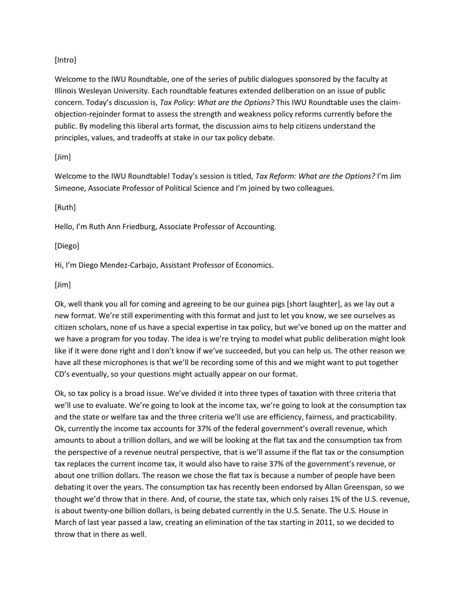#### [Intro]

Welcome to the IWU Roundtable, one of the series of public dialogues sponsored by the faculty at Illinois Wesleyan University. Each roundtable features extended deliberation on an issue of public concern. Today's discussion is, *Tax Policy: What are the Options?* This IWU Roundtable uses the claimobjection-rejoinder format to assess the strength and weakness policy reforms currently before the public. By modeling this liberal arts format, the discussion aims to help citizens understand the principles, values, and tradeoffs at stake in our tax policy debate.

#### [Jim]

Welcome to the IWU Roundtable! Today's session is titled, *Tax Reform: What are the Options?* I'm Jim Simeone, Associate Professor of Political Science and I'm joined by two colleagues.

#### [Ruth]

Hello, I'm Ruth Ann Friedburg, Associate Professor of Accounting.

#### [Diego]

Hi, I'm Diego Mendez-Carbajo, Assistant Professor of Economics.

#### [Jim]

Ok, well thank you all for coming and agreeing to be our guinea pigs [short laughter], as we lay out a new format. We're still experimenting with this format and just to let you know, we see ourselves as citizen scholars, none of us have a special expertise in tax policy, but we've boned up on the matter and we have a program for you today. The idea is we're trying to model what public deliberation might look like if it were done right and I don't know if we've succeeded, but you can help us. The other reason we have all these microphones is that we'll be recording some of this and we might want to put together CD's eventually, so your questions might actually appear on our format.

Ok, so tax policy is a broad issue. We've divided it into three types of taxation with three criteria that we'll use to evaluate. We're going to look at the income tax, we're going to look at the consumption tax and the state or welfare tax and the three criteria we'll use are efficiency, fairness, and practicability. Ok, currently the income tax accounts for 37% of the federal government's overall revenue, which amounts to about a trillion dollars, and we will be looking at the flat tax and the consumption tax from the perspective of a revenue neutral perspective, that is we'll assume if the flat tax or the consumption tax replaces the current income tax, it would also have to raise 37% of the government's revenue, or about one trillion dollars. The reason we chose the flat tax is because a number of people have been debating it over the years. The consumption tax has recently been endorsed by Allan Greenspan, so we thought we'd throw that in there. And, of course, the state tax, which only raises 1% of the U.S. revenue, is about twenty-one billion dollars, is being debated currently in the U.S. Senate. The U.S. House in March of last year passed a law, creating an elimination of the tax starting in 2011, so we decided to throw that in there as well.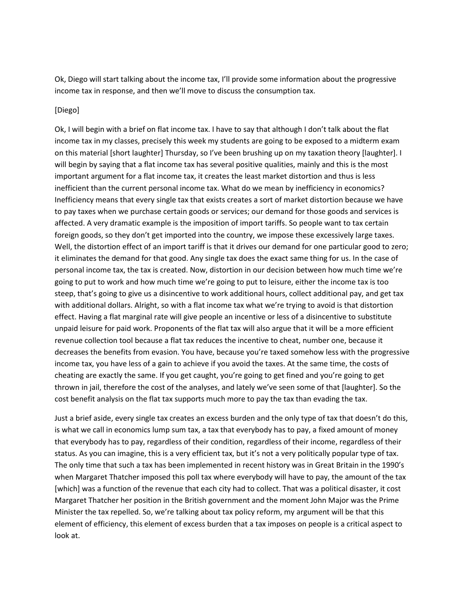Ok, Diego will start talking about the income tax, I'll provide some information about the progressive income tax in response, and then we'll move to discuss the consumption tax.

#### [Diego]

Ok, I will begin with a brief on flat income tax. I have to say that although I don't talk about the flat income tax in my classes, precisely this week my students are going to be exposed to a midterm exam on this material [short laughter] Thursday, so I've been brushing up on my taxation theory [laughter]. I will begin by saying that a flat income tax has several positive qualities, mainly and this is the most important argument for a flat income tax, it creates the least market distortion and thus is less inefficient than the current personal income tax. What do we mean by inefficiency in economics? Inefficiency means that every single tax that exists creates a sort of market distortion because we have to pay taxes when we purchase certain goods or services; our demand for those goods and services is affected. A very dramatic example is the imposition of import tariffs. So people want to tax certain foreign goods, so they don't get imported into the country, we impose these excessively large taxes. Well, the distortion effect of an import tariff is that it drives our demand for one particular good to zero; it eliminates the demand for that good. Any single tax does the exact same thing for us. In the case of personal income tax, the tax is created. Now, distortion in our decision between how much time we're going to put to work and how much time we're going to put to leisure, either the income tax is too steep, that's going to give us a disincentive to work additional hours, collect additional pay, and get tax with additional dollars. Alright, so with a flat income tax what we're trying to avoid is that distortion effect. Having a flat marginal rate will give people an incentive or less of a disincentive to substitute unpaid leisure for paid work. Proponents of the flat tax will also argue that it will be a more efficient revenue collection tool because a flat tax reduces the incentive to cheat, number one, because it decreases the benefits from evasion. You have, because you're taxed somehow less with the progressive income tax, you have less of a gain to achieve if you avoid the taxes. At the same time, the costs of cheating are exactly the same. If you get caught, you're going to get fined and you're going to get thrown in jail, therefore the cost of the analyses, and lately we've seen some of that [laughter]. So the cost benefit analysis on the flat tax supports much more to pay the tax than evading the tax.

Just a brief aside, every single tax creates an excess burden and the only type of tax that doesn't do this, is what we call in economics lump sum tax, a tax that everybody has to pay, a fixed amount of money that everybody has to pay, regardless of their condition, regardless of their income, regardless of their status. As you can imagine, this is a very efficient tax, but it's not a very politically popular type of tax. The only time that such a tax has been implemented in recent history was in Great Britain in the 1990's when Margaret Thatcher imposed this poll tax where everybody will have to pay, the amount of the tax [which] was a function of the revenue that each city had to collect. That was a political disaster, it cost Margaret Thatcher her position in the British government and the moment John Major was the Prime Minister the tax repelled. So, we're talking about tax policy reform, my argument will be that this element of efficiency, this element of excess burden that a tax imposes on people is a critical aspect to look at.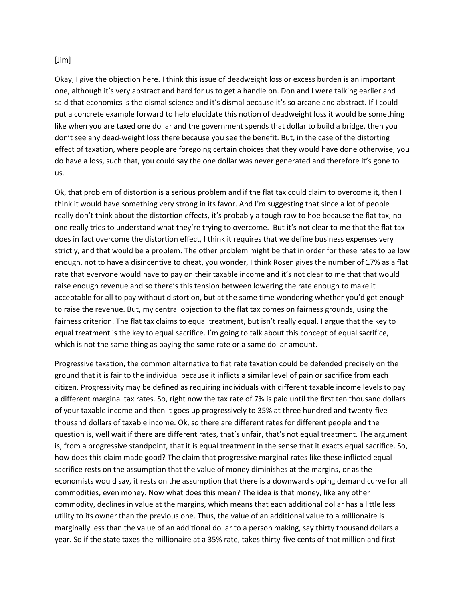#### [Jim]

Okay, I give the objection here. I think this issue of deadweight loss or excess burden is an important one, although it's very abstract and hard for us to get a handle on. Don and I were talking earlier and said that economics is the dismal science and it's dismal because it's so arcane and abstract. If I could put a concrete example forward to help elucidate this notion of deadweight loss it would be something like when you are taxed one dollar and the government spends that dollar to build a bridge, then you don't see any dead-weight loss there because you see the benefit. But, in the case of the distorting effect of taxation, where people are foregoing certain choices that they would have done otherwise, you do have a loss, such that, you could say the one dollar was never generated and therefore it's gone to us.

Ok, that problem of distortion is a serious problem and if the flat tax could claim to overcome it, then I think it would have something very strong in its favor. And I'm suggesting that since a lot of people really don't think about the distortion effects, it's probably a tough row to hoe because the flat tax, no one really tries to understand what they're trying to overcome. But it's not clear to me that the flat tax does in fact overcome the distortion effect, I think it requires that we define business expenses very strictly, and that would be a problem. The other problem might be that in order for these rates to be low enough, not to have a disincentive to cheat, you wonder, I think Rosen gives the number of 17% as a flat rate that everyone would have to pay on their taxable income and it's not clear to me that that would raise enough revenue and so there's this tension between lowering the rate enough to make it acceptable for all to pay without distortion, but at the same time wondering whether you'd get enough to raise the revenue. But, my central objection to the flat tax comes on fairness grounds, using the fairness criterion. The flat tax claims to equal treatment, but isn't really equal. I argue that the key to equal treatment is the key to equal sacrifice. I'm going to talk about this concept of equal sacrifice, which is not the same thing as paying the same rate or a same dollar amount.

Progressive taxation, the common alternative to flat rate taxation could be defended precisely on the ground that it is fair to the individual because it inflicts a similar level of pain or sacrifice from each citizen. Progressivity may be defined as requiring individuals with different taxable income levels to pay a different marginal tax rates. So, right now the tax rate of 7% is paid until the first ten thousand dollars of your taxable income and then it goes up progressively to 35% at three hundred and twenty-five thousand dollars of taxable income. Ok, so there are different rates for different people and the question is, well wait if there are different rates, that's unfair, that's not equal treatment. The argument is, from a progressive standpoint, that it is equal treatment in the sense that it exacts equal sacrifice. So, how does this claim made good? The claim that progressive marginal rates like these inflicted equal sacrifice rests on the assumption that the value of money diminishes at the margins, or as the economists would say, it rests on the assumption that there is a downward sloping demand curve for all commodities, even money. Now what does this mean? The idea is that money, like any other commodity, declines in value at the margins, which means that each additional dollar has a little less utility to its owner than the previous one. Thus, the value of an additional value to a millionaire is marginally less than the value of an additional dollar to a person making, say thirty thousand dollars a year. So if the state taxes the millionaire at a 35% rate, takes thirty-five cents of that million and first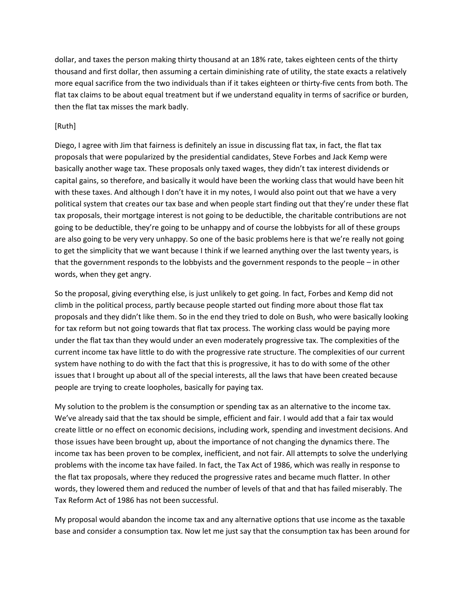dollar, and taxes the person making thirty thousand at an 18% rate, takes eighteen cents of the thirty thousand and first dollar, then assuming a certain diminishing rate of utility, the state exacts a relatively more equal sacrifice from the two individuals than if it takes eighteen or thirty-five cents from both. The flat tax claims to be about equal treatment but if we understand equality in terms of sacrifice or burden, then the flat tax misses the mark badly.

#### [Ruth]

Diego, I agree with Jim that fairness is definitely an issue in discussing flat tax, in fact, the flat tax proposals that were popularized by the presidential candidates, Steve Forbes and Jack Kemp were basically another wage tax. These proposals only taxed wages, they didn't tax interest dividends or capital gains, so therefore, and basically it would have been the working class that would have been hit with these taxes. And although I don't have it in my notes, I would also point out that we have a very political system that creates our tax base and when people start finding out that they're under these flat tax proposals, their mortgage interest is not going to be deductible, the charitable contributions are not going to be deductible, they're going to be unhappy and of course the lobbyists for all of these groups are also going to be very very unhappy. So one of the basic problems here is that we're really not going to get the simplicity that we want because I think if we learned anything over the last twenty years, is that the government responds to the lobbyists and the government responds to the people – in other words, when they get angry.

So the proposal, giving everything else, is just unlikely to get going. In fact, Forbes and Kemp did not climb in the political process, partly because people started out finding more about those flat tax proposals and they didn't like them. So in the end they tried to dole on Bush, who were basically looking for tax reform but not going towards that flat tax process. The working class would be paying more under the flat tax than they would under an even moderately progressive tax. The complexities of the current income tax have little to do with the progressive rate structure. The complexities of our current system have nothing to do with the fact that this is progressive, it has to do with some of the other issues that I brought up about all of the special interests, all the laws that have been created because people are trying to create loopholes, basically for paying tax.

My solution to the problem is the consumption or spending tax as an alternative to the income tax. We've already said that the tax should be simple, efficient and fair. I would add that a fair tax would create little or no effect on economic decisions, including work, spending and investment decisions. And those issues have been brought up, about the importance of not changing the dynamics there. The income tax has been proven to be complex, inefficient, and not fair. All attempts to solve the underlying problems with the income tax have failed. In fact, the Tax Act of 1986, which was really in response to the flat tax proposals, where they reduced the progressive rates and became much flatter. In other words, they lowered them and reduced the number of levels of that and that has failed miserably. The Tax Reform Act of 1986 has not been successful.

My proposal would abandon the income tax and any alternative options that use income as the taxable base and consider a consumption tax. Now let me just say that the consumption tax has been around for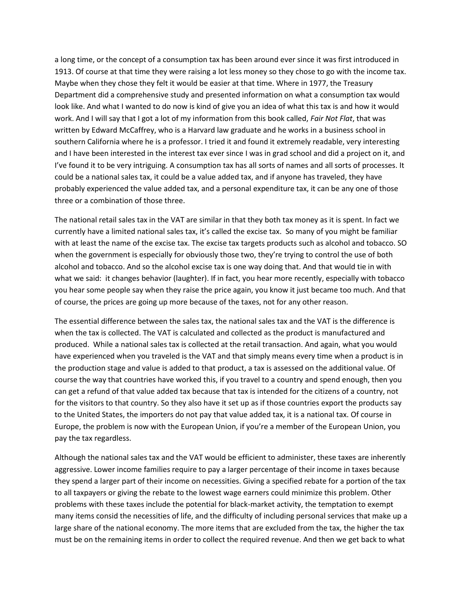a long time, or the concept of a consumption tax has been around ever since it was first introduced in 1913. Of course at that time they were raising a lot less money so they chose to go with the income tax. Maybe when they chose they felt it would be easier at that time. Where in 1977, the Treasury Department did a comprehensive study and presented information on what a consumption tax would look like. And what I wanted to do now is kind of give you an idea of what this tax is and how it would work. And I will say that I got a lot of my information from this book called, *Fair Not Flat*, that was written by Edward McCaffrey, who is a Harvard law graduate and he works in a business school in southern California where he is a professor. I tried it and found it extremely readable, very interesting and I have been interested in the interest tax ever since I was in grad school and did a project on it, and I've found it to be very intriguing. A consumption tax has all sorts of names and all sorts of processes. It could be a national sales tax, it could be a value added tax, and if anyone has traveled, they have probably experienced the value added tax, and a personal expenditure tax, it can be any one of those three or a combination of those three.

The national retail sales tax in the VAT are similar in that they both tax money as it is spent. In fact we currently have a limited national sales tax, it's called the excise tax. So many of you might be familiar with at least the name of the excise tax. The excise tax targets products such as alcohol and tobacco. SO when the government is especially for obviously those two, they're trying to control the use of both alcohol and tobacco. And so the alcohol excise tax is one way doing that. And that would tie in with what we said: it changes behavior (laughter). If in fact, you hear more recently, especially with tobacco you hear some people say when they raise the price again, you know it just became too much. And that of course, the prices are going up more because of the taxes, not for any other reason.

The essential difference between the sales tax, the national sales tax and the VAT is the difference is when the tax is collected. The VAT is calculated and collected as the product is manufactured and produced. While a national sales tax is collected at the retail transaction. And again, what you would have experienced when you traveled is the VAT and that simply means every time when a product is in the production stage and value is added to that product, a tax is assessed on the additional value. Of course the way that countries have worked this, if you travel to a country and spend enough, then you can get a refund of that value added tax because that tax is intended for the citizens of a country, not for the visitors to that country. So they also have it set up as if those countries export the products say to the United States, the importers do not pay that value added tax, it is a national tax. Of course in Europe, the problem is now with the European Union, if you're a member of the European Union, you pay the tax regardless.

Although the national sales tax and the VAT would be efficient to administer, these taxes are inherently aggressive. Lower income families require to pay a larger percentage of their income in taxes because they spend a larger part of their income on necessities. Giving a specified rebate for a portion of the tax to all taxpayers or giving the rebate to the lowest wage earners could minimize this problem. Other problems with these taxes include the potential for black-market activity, the temptation to exempt many items consid the necessities of life, and the difficulty of including personal services that make up a large share of the national economy. The more items that are excluded from the tax, the higher the tax must be on the remaining items in order to collect the required revenue. And then we get back to what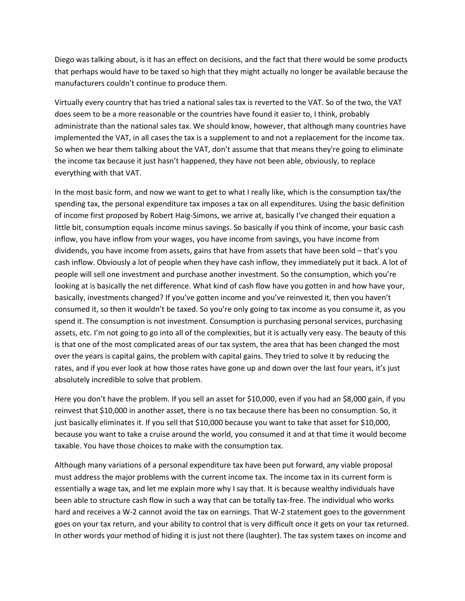Diego was talking about, is it has an effect on decisions, and the fact that there would be some products that perhaps would have to be taxed so high that they might actually no longer be available because the manufacturers couldn't continue to produce them.

Virtually every country that has tried a national sales tax is reverted to the VAT. So of the two, the VAT does seem to be a more reasonable or the countries have found it easier to, I think, probably administrate than the national sales tax. We should know, however, that although many countries have implemented the VAT, in all cases the tax is a supplement to and not a replacement for the income tax. So when we hear them talking about the VAT, don't assume that that means they're going to eliminate the income tax because it just hasn't happened, they have not been able, obviously, to replace everything with that VAT.

In the most basic form, and now we want to get to what I really like, which is the consumption tax/the spending tax, the personal expenditure tax imposes a tax on all expenditures. Using the basic definition of income first proposed by Robert Haig-Simons, we arrive at, basically I've changed their equation a little bit, consumption equals income minus savings. So basically if you think of income, your basic cash inflow, you have inflow from your wages, you have income from savings, you have income from dividends, you have income from assets, gains that have from assets that have been sold – that's you cash inflow. Obviously a lot of people when they have cash inflow, they immediately put it back. A lot of people will sell one investment and purchase another investment. So the consumption, which you're looking at is basically the net difference. What kind of cash flow have you gotten in and how have your, basically, investments changed? If you've gotten income and you've reinvested it, then you haven't consumed it, so then it wouldn't be taxed. So you're only going to tax income as you consume it, as you spend it. The consumption is not investment. Consumption is purchasing personal services, purchasing assets, etc. I'm not going to go into all of the complexities, but it is actually very easy. The beauty of this is that one of the most complicated areas of our tax system, the area that has been changed the most over the years is capital gains, the problem with capital gains. They tried to solve it by reducing the rates, and if you ever look at how those rates have gone up and down over the last four years, it's just absolutely incredible to solve that problem.

Here you don't have the problem. If you sell an asset for \$10,000, even if you had an \$8,000 gain, if you reinvest that \$10,000 in another asset, there is no tax because there has been no consumption. So, it just basically eliminates it. If you sell that \$10,000 because you want to take that asset for \$10,000, because you want to take a cruise around the world, you consumed it and at that time it would become taxable. You have those choices to make with the consumption tax.

Although many variations of a personal expenditure tax have been put forward, any viable proposal must address the major problems with the current income tax. The income tax in its current form is essentially a wage tax, and let me explain more why I say that. It is because wealthy individuals have been able to structure cash flow in such a way that can be totally tax-free. The individual who works hard and receives a W-2 cannot avoid the tax on earnings. That W-2 statement goes to the government goes on your tax return, and your ability to control that is very difficult once it gets on your tax returned. In other words your method of hiding it is just not there (laughter). The tax system taxes on income and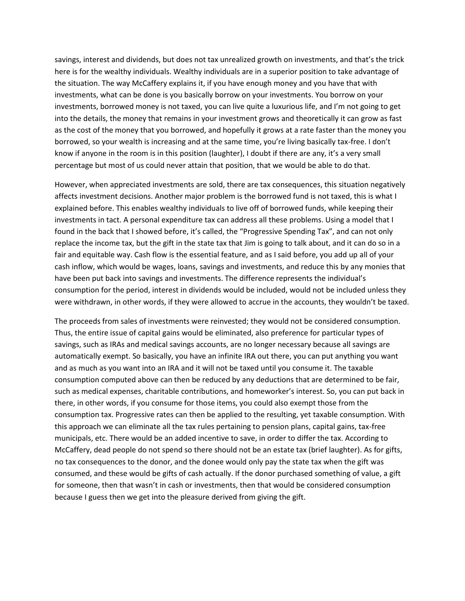savings, interest and dividends, but does not tax unrealized growth on investments, and that's the trick here is for the wealthy individuals. Wealthy individuals are in a superior position to take advantage of the situation. The way McCaffery explains it, if you have enough money and you have that with investments, what can be done is you basically borrow on your investments. You borrow on your investments, borrowed money is not taxed, you can live quite a luxurious life, and I'm not going to get into the details, the money that remains in your investment grows and theoretically it can grow as fast as the cost of the money that you borrowed, and hopefully it grows at a rate faster than the money you borrowed, so your wealth is increasing and at the same time, you're living basically tax-free. I don't know if anyone in the room is in this position (laughter), I doubt if there are any, it's a very small percentage but most of us could never attain that position, that we would be able to do that.

However, when appreciated investments are sold, there are tax consequences, this situation negatively affects investment decisions. Another major problem is the borrowed fund is not taxed, this is what I explained before. This enables wealthy individuals to live off of borrowed funds, while keeping their investments in tact. A personal expenditure tax can address all these problems. Using a model that I found in the back that I showed before, it's called, the "Progressive Spending Tax", and can not only replace the income tax, but the gift in the state tax that Jim is going to talk about, and it can do so in a fair and equitable way. Cash flow is the essential feature, and as I said before, you add up all of your cash inflow, which would be wages, loans, savings and investments, and reduce this by any monies that have been put back into savings and investments. The difference represents the individual's consumption for the period, interest in dividends would be included, would not be included unless they were withdrawn, in other words, if they were allowed to accrue in the accounts, they wouldn't be taxed.

The proceeds from sales of investments were reinvested; they would not be considered consumption. Thus, the entire issue of capital gains would be eliminated, also preference for particular types of savings, such as IRAs and medical savings accounts, are no longer necessary because all savings are automatically exempt. So basically, you have an infinite IRA out there, you can put anything you want and as much as you want into an IRA and it will not be taxed until you consume it. The taxable consumption computed above can then be reduced by any deductions that are determined to be fair, such as medical expenses, charitable contributions, and homeworker's interest. So, you can put back in there, in other words, if you consume for those items, you could also exempt those from the consumption tax. Progressive rates can then be applied to the resulting, yet taxable consumption. With this approach we can eliminate all the tax rules pertaining to pension plans, capital gains, tax-free municipals, etc. There would be an added incentive to save, in order to differ the tax. According to McCaffery, dead people do not spend so there should not be an estate tax (brief laughter). As for gifts, no tax consequences to the donor, and the donee would only pay the state tax when the gift was consumed, and these would be gifts of cash actually. If the donor purchased something of value, a gift for someone, then that wasn't in cash or investments, then that would be considered consumption because I guess then we get into the pleasure derived from giving the gift.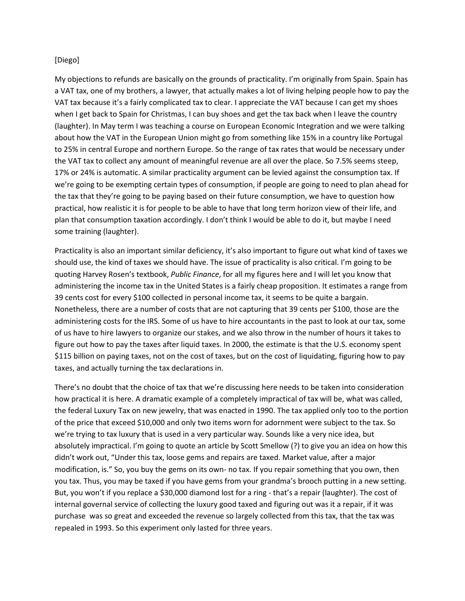#### [Diego]

My objections to refunds are basically on the grounds of practicality. I'm originally from Spain. Spain has a VAT tax, one of my brothers, a lawyer, that actually makes a lot of living helping people how to pay the VAT tax because it's a fairly complicated tax to clear. I appreciate the VAT because I can get my shoes when I get back to Spain for Christmas, I can buy shoes and get the tax back when I leave the country (laughter). In May term I was teaching a course on European Economic Integration and we were talking about how the VAT in the European Union might go from something like 15% in a country like Portugal to 25% in central Europe and northern Europe. So the range of tax rates that would be necessary under the VAT tax to collect any amount of meaningful revenue are all over the place. So 7.5% seems steep, 17% or 24% is automatic. A similar practicality argument can be levied against the consumption tax. If we're going to be exempting certain types of consumption, if people are going to need to plan ahead for the tax that they're going to be paying based on their future consumption, we have to question how practical, how realistic it is for people to be able to have that long term horizon view of their life, and plan that consumption taxation accordingly. I don't think I would be able to do it, but maybe I need some training (laughter).

Practicality is also an important similar deficiency, it's also important to figure out what kind of taxes we should use, the kind of taxes we should have. The issue of practicality is also critical. I'm going to be quoting Harvey Rosen's textbook, *Public Finance*, for all my figures here and I will let you know that administering the income tax in the United States is a fairly cheap proposition. It estimates a range from 39 cents cost for every \$100 collected in personal income tax, it seems to be quite a bargain. Nonetheless, there are a number of costs that are not capturing that 39 cents per \$100, those are the administering costs for the IRS. Some of us have to hire accountants in the past to look at our tax, some of us have to hire lawyers to organize our stakes, and we also throw in the number of hours it takes to figure out how to pay the taxes after liquid taxes. In 2000, the estimate is that the U.S. economy spent \$115 billion on paying taxes, not on the cost of taxes, but on the cost of liquidating, figuring how to pay taxes, and actually turning the tax declarations in.

There's no doubt that the choice of tax that we're discussing here needs to be taken into consideration how practical it is here. A dramatic example of a completely impractical of tax will be, what was called, the federal Luxury Tax on new jewelry, that was enacted in 1990. The tax applied only too to the portion of the price that exceed \$10,000 and only two items worn for adornment were subject to the tax. So we're trying to tax luxury that is used in a very particular way. Sounds like a very nice idea, but absolutely impractical. I'm going to quote an article by Scott Smellow (?) to give you an idea on how this didn't work out, "Under this tax, loose gems and repairs are taxed. Market value, after a major modification, is." So, you buy the gems on its own- no tax. If you repair something that you own, then you tax. Thus, you may be taxed if you have gems from your grandma's brooch putting in a new setting. But, you won't if you replace a \$30,000 diamond lost for a ring - that's a repair (laughter). The cost of internal governal service of collecting the luxury good taxed and figuring out was it a repair, if it was purchase was so great and exceeded the revenue so largely collected from this tax, that the tax was repealed in 1993. So this experiment only lasted for three years.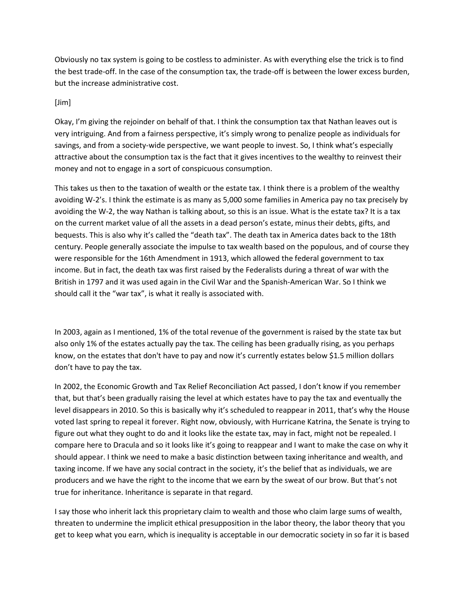Obviously no tax system is going to be costless to administer. As with everything else the trick is to find the best trade-off. In the case of the consumption tax, the trade-off is between the lower excess burden, but the increase administrative cost.

### [Jim]

Okay, I'm giving the rejoinder on behalf of that. I think the consumption tax that Nathan leaves out is very intriguing. And from a fairness perspective, it's simply wrong to penalize people as individuals for savings, and from a society-wide perspective, we want people to invest. So, I think what's especially attractive about the consumption tax is the fact that it gives incentives to the wealthy to reinvest their money and not to engage in a sort of conspicuous consumption.

This takes us then to the taxation of wealth or the estate tax. I think there is a problem of the wealthy avoiding W-2's. I think the estimate is as many as 5,000 some families in America pay no tax precisely by avoiding the W-2, the way Nathan is talking about, so this is an issue. What is the estate tax? It is a tax on the current market value of all the assets in a dead person's estate, minus their debts, gifts, and bequests. This is also why it's called the "death tax". The death tax in America dates back to the 18th century. People generally associate the impulse to tax wealth based on the populous, and of course they were responsible for the 16th Amendment in 1913, which allowed the federal government to tax income. But in fact, the death tax was first raised by the Federalists during a threat of war with the British in 1797 and it was used again in the Civil War and the Spanish-American War. So I think we should call it the "war tax", is what it really is associated with.

In 2003, again as I mentioned, 1% of the total revenue of the government is raised by the state tax but also only 1% of the estates actually pay the tax. The ceiling has been gradually rising, as you perhaps know, on the estates that don't have to pay and now it's currently estates below \$1.5 million dollars don't have to pay the tax.

In 2002, the Economic Growth and Tax Relief Reconciliation Act passed, I don't know if you remember that, but that's been gradually raising the level at which estates have to pay the tax and eventually the level disappears in 2010. So this is basically why it's scheduled to reappear in 2011, that's why the House voted last spring to repeal it forever. Right now, obviously, with Hurricane Katrina, the Senate is trying to figure out what they ought to do and it looks like the estate tax, may in fact, might not be repealed. I compare here to Dracula and so it looks like it's going to reappear and I want to make the case on why it should appear. I think we need to make a basic distinction between taxing inheritance and wealth, and taxing income. If we have any social contract in the society, it's the belief that as individuals, we are producers and we have the right to the income that we earn by the sweat of our brow. But that's not true for inheritance. Inheritance is separate in that regard.

I say those who inherit lack this proprietary claim to wealth and those who claim large sums of wealth, threaten to undermine the implicit ethical presupposition in the labor theory, the labor theory that you get to keep what you earn, which is inequality is acceptable in our democratic society in so far it is based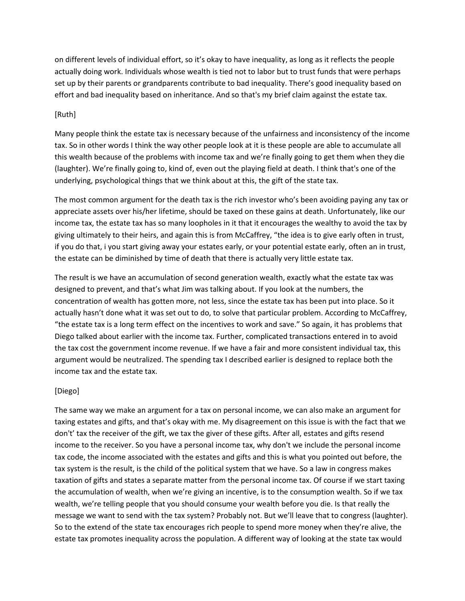on different levels of individual effort, so it's okay to have inequality, as long as it reflects the people actually doing work. Individuals whose wealth is tied not to labor but to trust funds that were perhaps set up by their parents or grandparents contribute to bad inequality. There's good inequality based on effort and bad inequality based on inheritance. And so that's my brief claim against the estate tax.

#### [Ruth]

Many people think the estate tax is necessary because of the unfairness and inconsistency of the income tax. So in other words I think the way other people look at it is these people are able to accumulate all this wealth because of the problems with income tax and we're finally going to get them when they die (laughter). We're finally going to, kind of, even out the playing field at death. I think that's one of the underlying, psychological things that we think about at this, the gift of the state tax.

The most common argument for the death tax is the rich investor who's been avoiding paying any tax or appreciate assets over his/her lifetime, should be taxed on these gains at death. Unfortunately, like our income tax, the estate tax has so many loopholes in it that it encourages the wealthy to avoid the tax by giving ultimately to their heirs, and again this is from McCaffrey, "the idea is to give early often in trust, if you do that, i you start giving away your estates early, or your potential estate early, often an in trust, the estate can be diminished by time of death that there is actually very little estate tax.

The result is we have an accumulation of second generation wealth, exactly what the estate tax was designed to prevent, and that's what Jim was talking about. If you look at the numbers, the concentration of wealth has gotten more, not less, since the estate tax has been put into place. So it actually hasn't done what it was set out to do, to solve that particular problem. According to McCaffrey, "the estate tax is a long term effect on the incentives to work and save." So again, it has problems that Diego talked about earlier with the income tax. Further, complicated transactions entered in to avoid the tax cost the government income revenue. If we have a fair and more consistent individual tax, this argument would be neutralized. The spending tax I described earlier is designed to replace both the income tax and the estate tax.

#### [Diego]

The same way we make an argument for a tax on personal income, we can also make an argument for taxing estates and gifts, and that's okay with me. My disagreement on this issue is with the fact that we don't' tax the receiver of the gift, we tax the giver of these gifts. After all, estates and gifts resend income to the receiver. So you have a personal income tax, why don't we include the personal income tax code, the income associated with the estates and gifts and this is what you pointed out before, the tax system is the result, is the child of the political system that we have. So a law in congress makes taxation of gifts and states a separate matter from the personal income tax. Of course if we start taxing the accumulation of wealth, when we're giving an incentive, is to the consumption wealth. So if we tax wealth, we're telling people that you should consume your wealth before you die. Is that really the message we want to send with the tax system? Probably not. But we'll leave that to congress (laughter). So to the extend of the state tax encourages rich people to spend more money when they're alive, the estate tax promotes inequality across the population. A different way of looking at the state tax would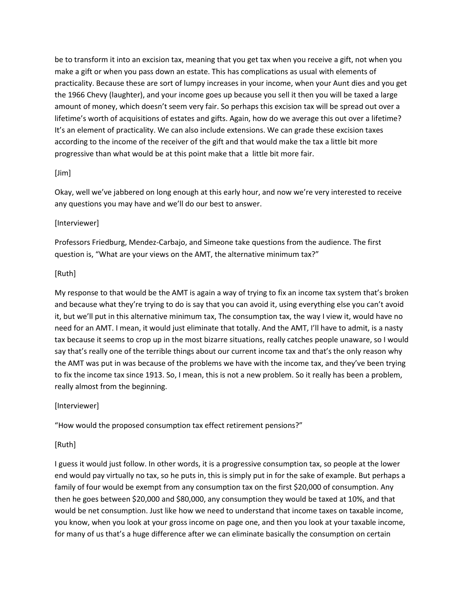be to transform it into an excision tax, meaning that you get tax when you receive a gift, not when you make a gift or when you pass down an estate. This has complications as usual with elements of practicality. Because these are sort of lumpy increases in your income, when your Aunt dies and you get the 1966 Chevy (laughter), and your income goes up because you sell it then you will be taxed a large amount of money, which doesn't seem very fair. So perhaps this excision tax will be spread out over a lifetime's worth of acquisitions of estates and gifts. Again, how do we average this out over a lifetime? It's an element of practicality. We can also include extensions. We can grade these excision taxes according to the income of the receiver of the gift and that would make the tax a little bit more progressive than what would be at this point make that a little bit more fair.

#### [Jim]

Okay, well we've jabbered on long enough at this early hour, and now we're very interested to receive any questions you may have and we'll do our best to answer.

#### [Interviewer]

Professors Friedburg, Mendez-Carbajo, and Simeone take questions from the audience. The first question is, "What are your views on the AMT, the alternative minimum tax?"

#### [Ruth]

My response to that would be the AMT is again a way of trying to fix an income tax system that's broken and because what they're trying to do is say that you can avoid it, using everything else you can't avoid it, but we'll put in this alternative minimum tax, The consumption tax, the way I view it, would have no need for an AMT. I mean, it would just eliminate that totally. And the AMT, I'll have to admit, is a nasty tax because it seems to crop up in the most bizarre situations, really catches people unaware, so I would say that's really one of the terrible things about our current income tax and that's the only reason why the AMT was put in was because of the problems we have with the income tax, and they've been trying to fix the income tax since 1913. So, I mean, this is not a new problem. So it really has been a problem, really almost from the beginning.

#### [Interviewer]

"How would the proposed consumption tax effect retirement pensions?"

### [Ruth]

I guess it would just follow. In other words, it is a progressive consumption tax, so people at the lower end would pay virtually no tax, so he puts in, this is simply put in for the sake of example. But perhaps a family of four would be exempt from any consumption tax on the first \$20,000 of consumption. Any then he goes between \$20,000 and \$80,000, any consumption they would be taxed at 10%, and that would be net consumption. Just like how we need to understand that income taxes on taxable income, you know, when you look at your gross income on page one, and then you look at your taxable income, for many of us that's a huge difference after we can eliminate basically the consumption on certain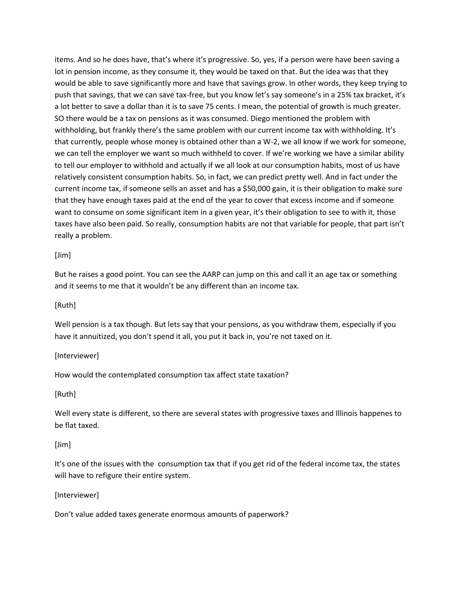items. And so he does have, that's where it's progressive. So, yes, if a person were have been saving a lot in pension income, as they consume it, they would be taxed on that. But the idea was that they would be able to save significantly more and have that savings grow. In other words, they keep trying to push that savings, that we can save tax-free, but you know let's say someone's in a 25% tax bracket, it's a lot better to save a dollar than it is to save 75 cents. I mean, the potential of growth is much greater. SO there would be a tax on pensions as it was consumed. Diego mentioned the problem with withholding, but frankly there's the same problem with our current income tax with withholding. It's that currently, people whose money is obtained other than a W-2, we all know if we work for someone, we can tell the employer we want so much withheld to cover. If we're working we have a similar ability to tell our employer to withhold and actually if we all look at our consumption habits, most of us have relatively consistent consumption habits. So, in fact, we can predict pretty well. And in fact under the current income tax, if someone sells an asset and has a \$50,000 gain, it is their obligation to make sure that they have enough taxes paid at the end of the year to cover that excess income and if someone want to consume on some significant item in a given year, it's their obligation to see to with it, those taxes have also been paid. So really, consumption habits are not that variable for people, that part isn't really a problem.

[Jim]

But he raises a good point. You can see the AARP can jump on this and call it an age tax or something and it seems to me that it wouldn't be any different than an income tax.

[Ruth]

Well pension is a tax though. But lets say that your pensions, as you withdraw them, especially if you have it annuitized, you don't spend it all, you put it back in, you're not taxed on it.

[Interviewer]

How would the contemplated consumption tax affect state taxation?

[Ruth]

Well every state is different, so there are several states with progressive taxes and Illinois happenes to be flat taxed.

### [Jim]

It's one of the issues with the consumption tax that if you get rid of the federal income tax, the states will have to refigure their entire system.

[Interviewer]

Don't value added taxes generate enormous amounts of paperwork?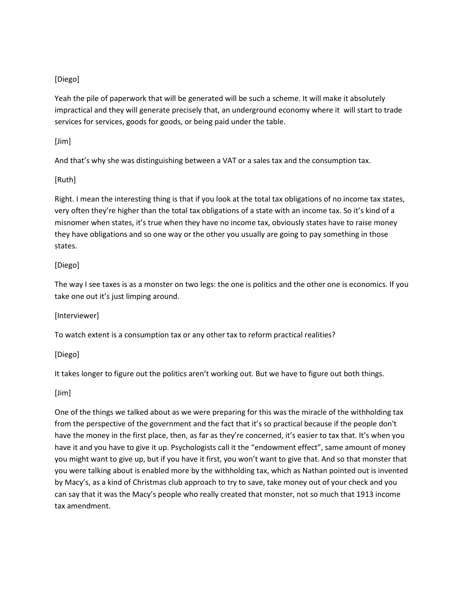## [Diego]

Yeah the pile of paperwork that will be generated will be such a scheme. It will make it absolutely impractical and they will generate precisely that, an underground economy where it will start to trade services for services, goods for goods, or being paid under the table.

[Jim]

And that's why she was distinguishing between a VAT or a sales tax and the consumption tax.

[Ruth]

Right. I mean the interesting thing is that if you look at the total tax obligations of no income tax states, very often they're higher than the total tax obligations of a state with an income tax. So it's kind of a misnomer when states, it's true when they have no income tax, obviously states have to raise money they have obligations and so one way or the other you usually are going to pay something in those states.

## [Diego]

The way I see taxes is as a monster on two legs: the one is politics and the other one is economics. If you take one out it's just limping around.

[Interviewer]

To watch extent is a consumption tax or any other tax to reform practical realities?

[Diego]

It takes longer to figure out the politics aren't working out. But we have to figure out both things.

[Jim]

One of the things we talked about as we were preparing for this was the miracle of the withholding tax from the perspective of the government and the fact that it's so practical because if the people don't have the money in the first place, then, as far as they're concerned, it's easier to tax that. It's when you have it and you have to give it up. Psychologists call it the "endowment effect", same amount of money you might want to give up, but if you have it first, you won't want to give that. And so that monster that you were talking about is enabled more by the withholding tax, which as Nathan pointed out is invented by Macy's, as a kind of Christmas club approach to try to save, take money out of your check and you can say that it was the Macy's people who really created that monster, not so much that 1913 income tax amendment.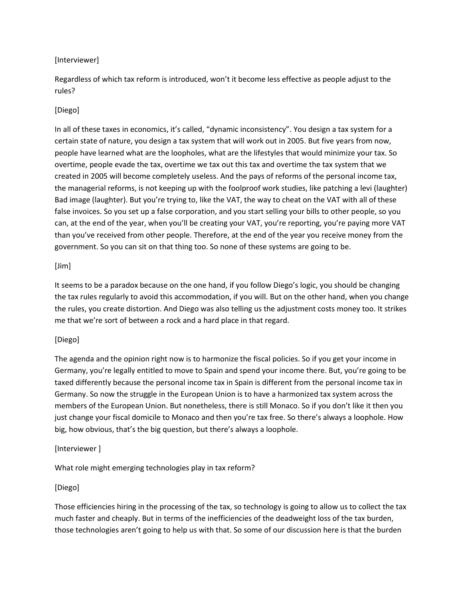### [Interviewer]

Regardless of which tax reform is introduced, won't it become less effective as people adjust to the rules?

## [Diego]

In all of these taxes in economics, it's called, "dynamic inconsistency". You design a tax system for a certain state of nature, you design a tax system that will work out in 2005. But five years from now, people have learned what are the loopholes, what are the lifestyles that would minimize your tax. So overtime, people evade the tax, overtime we tax out this tax and overtime the tax system that we created in 2005 will become completely useless. And the pays of reforms of the personal income tax, the managerial reforms, is not keeping up with the foolproof work studies, like patching a levi (laughter) Bad image (laughter). But you're trying to, like the VAT, the way to cheat on the VAT with all of these false invoices. So you set up a false corporation, and you start selling your bills to other people, so you can, at the end of the year, when you'll be creating your VAT, you're reporting, you're paying more VAT than you've received from other people. Therefore, at the end of the year you receive money from the government. So you can sit on that thing too. So none of these systems are going to be.

### [Jim]

It seems to be a paradox because on the one hand, if you follow Diego's logic, you should be changing the tax rules regularly to avoid this accommodation, if you will. But on the other hand, when you change the rules, you create distortion. And Diego was also telling us the adjustment costs money too. It strikes me that we're sort of between a rock and a hard place in that regard.

### [Diego]

The agenda and the opinion right now is to harmonize the fiscal policies. So if you get your income in Germany, you're legally entitled to move to Spain and spend your income there. But, you're going to be taxed differently because the personal income tax in Spain is different from the personal income tax in Germany. So now the struggle in the European Union is to have a harmonized tax system across the members of the European Union. But nonetheless, there is still Monaco. So if you don't like it then you just change your fiscal domicile to Monaco and then you're tax free. So there's always a loophole. How big, how obvious, that's the big question, but there's always a loophole.

### [Interviewer ]

What role might emerging technologies play in tax reform?

### [Diego]

Those efficiencies hiring in the processing of the tax, so technology is going to allow us to collect the tax much faster and cheaply. But in terms of the inefficiencies of the deadweight loss of the tax burden, those technologies aren't going to help us with that. So some of our discussion here is that the burden